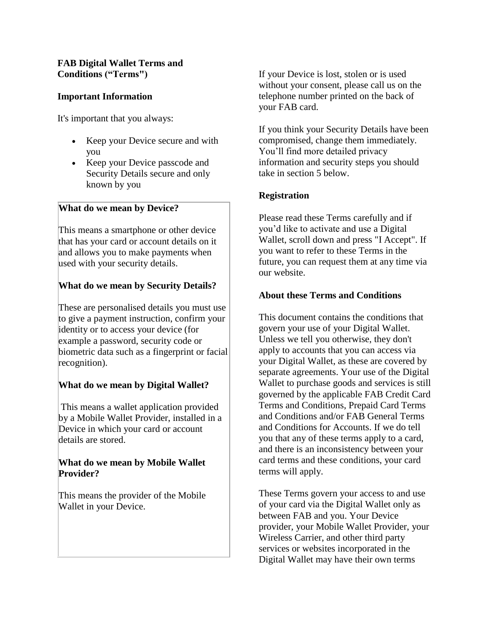# **FAB Digital Wallet Terms and Conditions ("Terms")**

# **Important Information**

It's important that you always:

- Keep your Device secure and with you
- Keep your Device passcode and Security Details secure and only known by you

# **What do we mean by Device?**

This means a smartphone or other device that has your card or account details on it and allows you to make payments when used with your security details.

# **What do we mean by Security Details?**

These are personalised details you must use to give a payment instruction, confirm your identity or to access your device (for example a password, security code or biometric data such as a fingerprint or facial recognition).

# **What do we mean by Digital Wallet?**

This means a wallet application provided by a Mobile Wallet Provider, installed in a Device in which your card or account details are stored.

## **What do we mean by Mobile Wallet Provider?**

This means the provider of the Mobile Wallet in your Device.

If your Device is lost, stolen or is used without your consent, please call us on the telephone number printed on the back of your FAB card.

If you think your Security Details have been compromised, change them immediately. You'll find more detailed privacy information and security steps you should take in section 5 below.

# **Registration**

Please read these Terms carefully and if you'd like to activate and use a Digital Wallet, scroll down and press "I Accept". If you want to refer to these Terms in the future, you can request them at any time via our website.

## **About these Terms and Conditions**

This document contains the conditions that govern your use of your Digital Wallet. Unless we tell you otherwise, they don't apply to accounts that you can access via your Digital Wallet, as these are covered by separate agreements. Your use of the Digital Wallet to purchase goods and services is still governed by the applicable FAB Credit Card Terms and Conditions, Prepaid Card Terms and Conditions and/or FAB General Terms and Conditions for Accounts. If we do tell you that any of these terms apply to a card, and there is an inconsistency between your card terms and these conditions, your card terms will apply.

These Terms govern your access to and use of your card via the Digital Wallet only as between FAB and you. Your Device provider, your Mobile Wallet Provider, your Wireless Carrier, and other third party services or websites incorporated in the Digital Wallet may have their own terms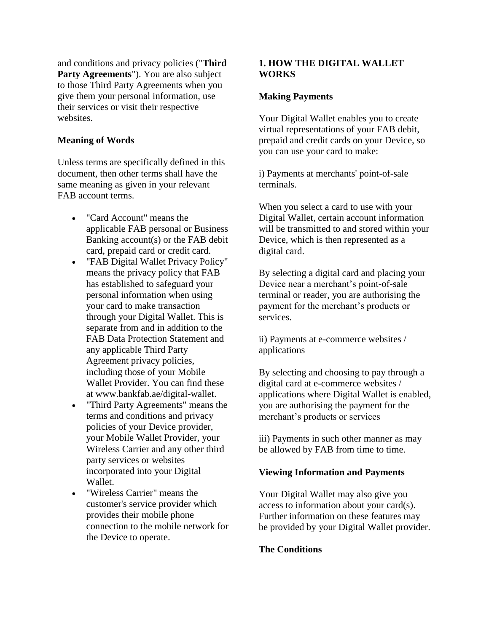and conditions and privacy policies ("**Third Party Agreements**"). You are also subject to those Third Party Agreements when you give them your personal information, use their services or visit their respective websites.

#### **Meaning of Words**

Unless terms are specifically defined in this document, then other terms shall have the same meaning as given in your relevant FAB account terms.

- "Card Account" means the applicable FAB personal or Business Banking account(s) or the FAB debit card, prepaid card or credit card.
- "FAB Digital Wallet Privacy Policy" means the privacy policy that FAB has established to safeguard your personal information when using your card to make transaction through your Digital Wallet. This is separate from and in addition to the FAB Data Protection Statement and any applicable Third Party Agreement privacy policies, including those of your Mobile Wallet Provider. You can find these at www.bankfab.ae/digital-wallet.
- "Third Party Agreements" means the terms and conditions and privacy policies of your Device provider, your Mobile Wallet Provider, your Wireless Carrier and any other third party services or websites incorporated into your Digital Wallet.
- "Wireless Carrier" means the customer's service provider which provides their mobile phone connection to the mobile network for the Device to operate.

### **1. HOW THE DIGITAL WALLET WORKS**

#### **Making Payments**

Your Digital Wallet enables you to create virtual representations of your FAB debit, prepaid and credit cards on your Device, so you can use your card to make:

i) Payments at merchants' point-of-sale terminals.

When you select a card to use with your Digital Wallet, certain account information will be transmitted to and stored within your Device, which is then represented as a digital card.

By selecting a digital card and placing your Device near a merchant's point-of-sale terminal or reader, you are authorising the payment for the merchant's products or services.

ii) Payments at e*-*commerce websites / applications

By selecting and choosing to pay through a digital card at e-commerce websites / applications where Digital Wallet is enabled, you are authorising the payment for the merchant's products or services

iii) Payments in such other manner as may be allowed by FAB from time to time.

#### **Viewing Information and Payments**

Your Digital Wallet may also give you access to information about your card(s). Further information on these features may be provided by your Digital Wallet provider.

### **The Conditions**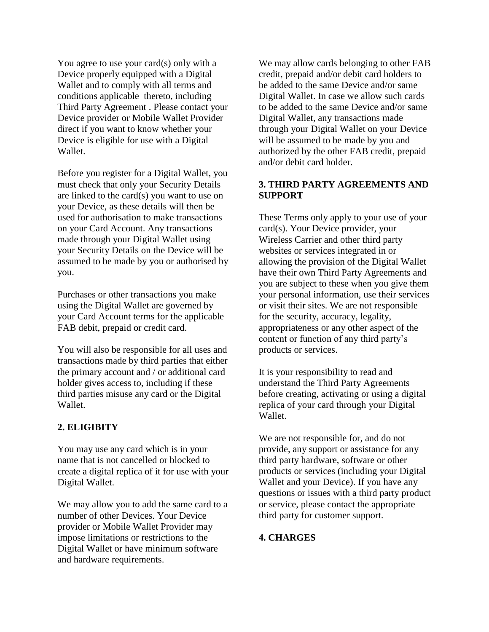You agree to use your card(s) only with a Device properly equipped with a Digital Wallet and to comply with all terms and conditions applicable thereto, including Third Party Agreement . Please contact your Device provider or Mobile Wallet Provider direct if you want to know whether your Device is eligible for use with a Digital Wallet.

Before you register for a Digital Wallet, you must check that only your Security Details are linked to the card(s) you want to use on your Device, as these details will then be used for authorisation to make transactions on your Card Account. Any transactions made through your Digital Wallet using your Security Details on the Device will be assumed to be made by you or authorised by you.

Purchases or other transactions you make using the Digital Wallet are governed by your Card Account terms for the applicable FAB debit, prepaid or credit card.

You will also be responsible for all uses and transactions made by third parties that either the primary account and / or additional card holder gives access to, including if these third parties misuse any card or the Digital Wallet.

#### **2. ELIGIBITY**

You may use any card which is in your name that is not cancelled or blocked to create a digital replica of it for use with your Digital Wallet.

We may allow you to add the same card to a number of other Devices. Your Device provider or Mobile Wallet Provider may impose limitations or restrictions to the Digital Wallet or have minimum software and hardware requirements.

We may allow cards belonging to other FAB credit, prepaid and/or debit card holders to be added to the same Device and/or same Digital Wallet. In case we allow such cards to be added to the same Device and/or same Digital Wallet, any transactions made through your Digital Wallet on your Device will be assumed to be made by you and authorized by the other FAB credit, prepaid and/or debit card holder.

### **3. THIRD PARTY AGREEMENTS AND SUPPORT**

These Terms only apply to your use of your card(s). Your Device provider, your Wireless Carrier and other third party websites or services integrated in or allowing the provision of the Digital Wallet have their own Third Party Agreements and you are subject to these when you give them your personal information, use their services or visit their sites. We are not responsible for the security, accuracy, legality, appropriateness or any other aspect of the content or function of any third party's products or services.

It is your responsibility to read and understand the Third Party Agreements before creating, activating or using a digital replica of your card through your Digital Wallet.

We are not responsible for, and do not provide, any support or assistance for any third party hardware, software or other products or services (including your Digital Wallet and your Device). If you have any questions or issues with a third party product or service, please contact the appropriate third party for customer support.

#### **4. CHARGES**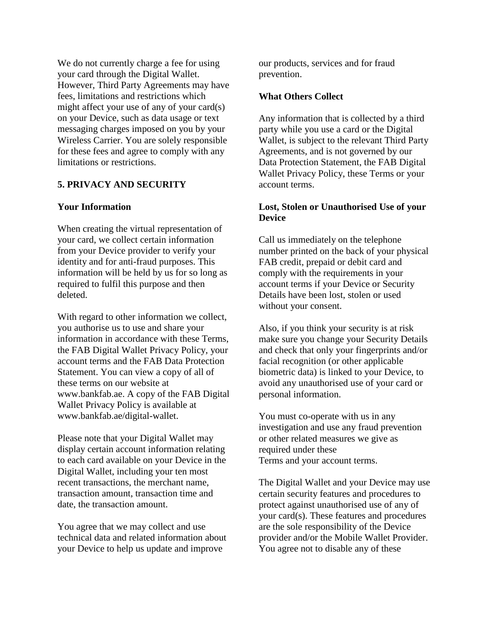We do not currently charge a fee for using your card through the Digital Wallet. However, Third Party Agreements may have fees, limitations and restrictions which might affect your use of any of your card(s) on your Device, such as data usage or text messaging charges imposed on you by your Wireless Carrier. You are solely responsible for these fees and agree to comply with any limitations or restrictions.

## **5. PRIVACY AND SECURITY**

#### **Your Information**

When creating the virtual representation of your card, we collect certain information from your Device provider to verify your identity and for anti-fraud purposes. This information will be held by us for so long as required to fulfil this purpose and then deleted.

With regard to other information we collect, you authorise us to use and share your information in accordance with these Terms, the FAB Digital Wallet Privacy Policy, your account terms and the FAB Data Protection Statement. You can view a copy of all of these terms on our website at www.bankfab.ae. A copy of the FAB Digital Wallet Privacy Policy is available at www.bankfab.ae/digital-wallet.

Please note that your Digital Wallet may display certain account information relating to each card available on your Device in the Digital Wallet, including your ten most recent transactions, the merchant name, transaction amount, transaction time and date, the transaction amount.

You agree that we may collect and use technical data and related information about your Device to help us update and improve

our products, services and for fraud prevention.

## **What Others Collect**

Any information that is collected by a third party while you use a card or the Digital Wallet, is subject to the relevant Third Party Agreements, and is not governed by our Data Protection Statement, the FAB Digital Wallet Privacy Policy, these Terms or your account terms.

### **Lost, Stolen or Unauthorised Use of your Device**

Call us immediately on the telephone number printed on the back of your physical FAB credit, prepaid or debit card and comply with the requirements in your account terms if your Device or Security Details have been lost, stolen or used without your consent.

Also, if you think your security is at risk make sure you change your Security Details and check that only your fingerprints and/or facial recognition (or other applicable biometric data) is linked to your Device, to avoid any unauthorised use of your card or personal information.

You must co-operate with us in any investigation and use any fraud prevention or other related measures we give as required under these Terms and your account terms.

The Digital Wallet and your Device may use certain security features and procedures to protect against unauthorised use of any of your card(s). These features and procedures are the sole responsibility of the Device provider and/or the Mobile Wallet Provider. You agree not to disable any of these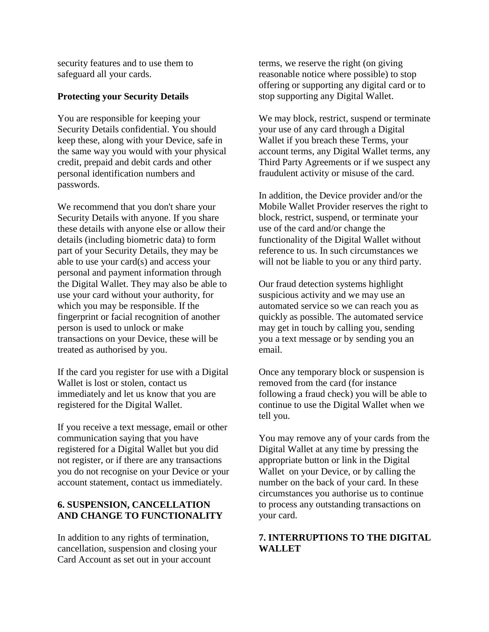security features and to use them to safeguard all your cards.

#### **Protecting your Security Details**

You are responsible for keeping your Security Details confidential. You should keep these, along with your Device, safe in the same way you would with your physical credit, prepaid and debit cards and other personal identification numbers and passwords.

We recommend that you don't share your Security Details with anyone. If you share these details with anyone else or allow their details (including biometric data) to form part of your Security Details, they may be able to use your card(s) and access your personal and payment information through the Digital Wallet. They may also be able to use your card without your authority, for which you may be responsible. If the fingerprint or facial recognition of another person is used to unlock or make transactions on your Device, these will be treated as authorised by you.

If the card you register for use with a Digital Wallet is lost or stolen, contact us immediately and let us know that you are registered for the Digital Wallet.

If you receive a text message, email or other communication saying that you have registered for a Digital Wallet but you did not register, or if there are any transactions you do not recognise on your Device or your account statement, contact us immediately.

## **6. SUSPENSION, CANCELLATION AND CHANGE TO FUNCTIONALITY**

In addition to any rights of termination, cancellation, suspension and closing your Card Account as set out in your account

terms, we reserve the right (on giving reasonable notice where possible) to stop offering or supporting any digital card or to stop supporting any Digital Wallet.

We may block, restrict, suspend or terminate your use of any card through a Digital Wallet if you breach these Terms, your account terms, any Digital Wallet terms, any Third Party Agreements or if we suspect any fraudulent activity or misuse of the card.

In addition, the Device provider and/or the Mobile Wallet Provider reserves the right to block, restrict, suspend, or terminate your use of the card and/or change the functionality of the Digital Wallet without reference to us. In such circumstances we will not be liable to you or any third party.

Our fraud detection systems highlight suspicious activity and we may use an automated service so we can reach you as quickly as possible. The automated service may get in touch by calling you, sending you a text message or by sending you an email.

Once any temporary block or suspension is removed from the card (for instance following a fraud check) you will be able to continue to use the Digital Wallet when we tell you.

You may remove any of your cards from the Digital Wallet at any time by pressing the appropriate button or link in the Digital Wallet on your Device, or by calling the number on the back of your card. In these circumstances you authorise us to continue to process any outstanding transactions on your card.

## **7. INTERRUPTIONS TO THE DIGITAL WALLET**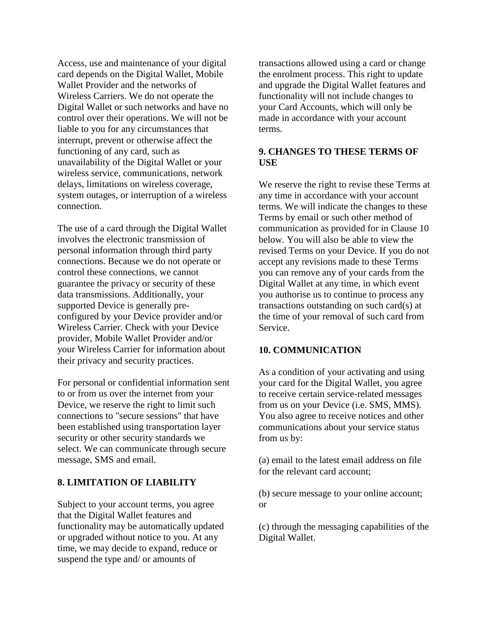Access, use and maintenance of your digital card depends on the Digital Wallet, Mobile Wallet Provider and the networks of Wireless Carriers. We do not operate the Digital Wallet or such networks and have no control over their operations. We will not be liable to you for any circumstances that interrupt, prevent or otherwise affect the functioning of any card, such as unavailability of the Digital Wallet or your wireless service, communications, network delays, limitations on wireless coverage, system outages, or interruption of a wireless connection.

The use of a card through the Digital Wallet involves the electronic transmission of personal information through third party connections. Because we do not operate or control these connections, we cannot guarantee the privacy or security of these data transmissions. Additionally, your supported Device is generally preconfigured by your Device provider and/or Wireless Carrier. Check with your Device provider, Mobile Wallet Provider and/or your Wireless Carrier for information about their privacy and security practices.

For personal or confidential information sent to or from us over the internet from your Device, we reserve the right to limit such connections to "secure sessions" that have been established using transportation layer security or other security standards we select. We can communicate through secure message, SMS and email.

#### **8. LIMITATION OF LIABILITY**

Subject to your account terms, you agree that the Digital Wallet features and functionality may be automatically updated or upgraded without notice to you. At any time, we may decide to expand, reduce or suspend the type and/ or amounts of

transactions allowed using a card or change the enrolment process. This right to update and upgrade the Digital Wallet features and functionality will not include changes to your Card Accounts, which will only be made in accordance with your account terms.

## **9. CHANGES TO THESE TERMS OF USE**

We reserve the right to revise these Terms at any time in accordance with your account terms. We will indicate the changes to these Terms by email or such other method of communication as provided for in Clause 10 below. You will also be able to view the revised Terms on your Device. If you do not accept any revisions made to these Terms you can remove any of your cards from the Digital Wallet at any time, in which event you authorise us to continue to process any transactions outstanding on such card(s) at the time of your removal of such card from Service.

#### **10. COMMUNICATION**

As a condition of your activating and using your card for the Digital Wallet, you agree to receive certain service-related messages from us on your Device (i.e. SMS, MMS). You also agree to receive notices and other communications about your service status from us by:

(a) email to the latest email address on file for the relevant card account;

(b) secure message to your online account; or

(c) through the messaging capabilities of the Digital Wallet.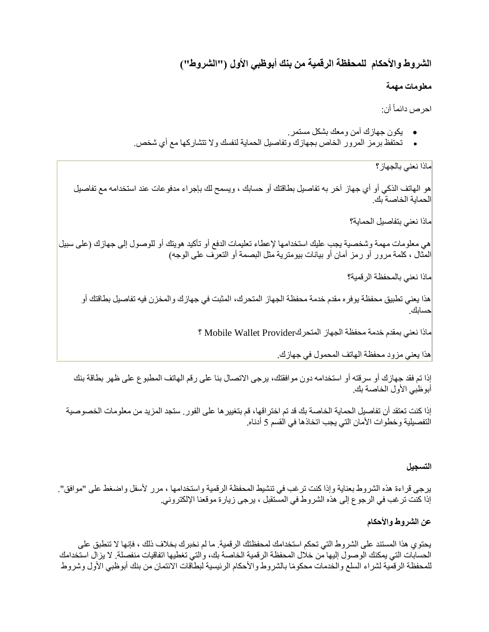# **الشروط واألحكام للمحفظة الرقمية من بنك أبوظبي األول )"الشروط"(**

# **معلومات مهمة**

احرص دائماً أن:

- يكون جهازك آمن ومعك بشكل مستمر.
- تحتفظ برمز المرور الخاص بجهازك وتفاصيل الحماية لنفسك وال تتشاركها مع أي شخص.

ماذا نعني بالجهاز؟

هو الهاتف الذكي أو أي جهاز آخر به تفاصيل بطاقتك أو حسابك ، ويسمح لك بإجراء مدفوعات عند استخدامه مع تفاصيل الحماية الخاصة بك.

ماذا نعني بتفاصيل الحماية؟

هي معلومات مهمة وشخصية يجب عليك استخدامها إلعطاء تعليمات الدفع أو تأكيد هويتك أو للوصول إلى جهازك )على سبيل المثال ، كلمة مرور أو ر مز أمان أو بيانات بيومترية مثل البصمة أو التعرف على الوجه(

ماذا نعني بالمحفظة الرقمية؟

هذا يعني تطبيق محفظة يوفره مقدم خدمة محفظة الجهاز المتحرك، المثبت في جهازك والمخزن فيه تفاصيل بطاقتك أو حسابك.

ماذا نعني بمقدم خدمة محفظة الجهاز المتحركProvider Wallet Mobile ؟

هذا يعني مزود محفظة الهاتف المحمول في جهازك.

إذا تم فقد جهازك أو س رقته أو استخدامه دون موافقتك، يرجى االتصال بنا على رقم الهاتف المطبوع على ظهر بطاقة بنك أبوظبي الأول الخاصة بك.

إذا كنت تعتقد أن تفاصيل الحماية الخاصة بك قد تم اختراقها، قم بتغييرها على الفور. ستجد المزيد من معلومات الخصوصية التفصيلية وخطوات الأمان التي يجب اتخاذها في القسم 5 أدناه.

### **التسجيل**

يرجى قراءة هذه الشروط بعناية وإذا كنت ترغب في تنشيط المحفظة الرقمية واستخدامها ، مرر ألسفل واضغط على "موافق". إذا كنت ترغب في الرجوع إلى هذه الشروط في المستقبل ، يرجى زيارة موقعنا اإللكتروني.

# **عن الشروط واألحكام**

يحتوي هذا المستند على الشروط التي تحكم استخدامك لمحفظتك الرقمية. ما لم نخبرك بخالف ذلك ، فإنها ال تنطبق على الحسابات التي يمكنك الوصول إليها من خالل المحفظة الرقمية الخاصة بك، والتي تغطيها اتفاقيات منفصلة. ال يزال استخدامك للمحفظة الرقمية لشراء السلع والخدمات محكومًا بالشروط والأحكام الرئيسية لبطاقات الائتمان من بنك أبوظبي الأول وشروط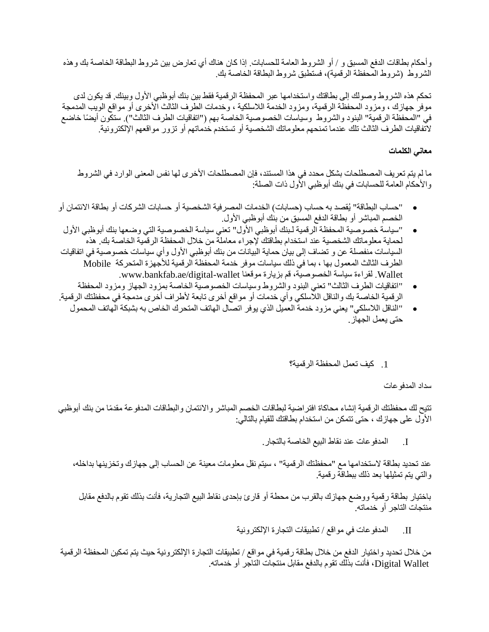وأحكام بطاقات الدفع المسبق و / أو الشروط العامة للحسابات. إذا كان هناك أي تعارض بين شروط البطاقة الخاصة بك وهذه الشروط (شروط المحفظة الرقمية)، فستطبق شروط البطاقة الخاصة بك.

تحكم هذه الشروط وصولك إلى بطاقتك واستخدامها عبر المحفظة الرقمية فقط بين بنك أبوظبي األول وبينك. قد يكون لدى موفر جهازك ، ومزود المحفظة الرقمية، ومزود الخدمة الالسلكية ، وخدمات الطرف الثالث األخرى أو مواقع الويب المدمجة في "المحفظة الرقمية" البنود والشروط وسياسات الخصوصية الخاصة بهم ("اتفاقيات الطرف الثالث"). ستكون أيضًا خاضع التفاقيات الطرف الثالث تلك عندما تمنحهم معلوماتك الشخصية أو تستخدم خدماتهم أو تزور مواقعهم اإللكترونية.

## **معاني الكلمات**

ما لم يتم تعريف المصطلحات بشكل محدد في هذا المستند، فإن المصطلحات الأخرى لها نفس المعنى الوارد في الشروط والأحكام العامة للحسابات في بنك أبوظبي الأول ذات الصلة:

- "حساب البطاقة" يُقصد به حساب )حسابات( الخدمات المصرفية الشخصية أو حسابات الشركات أو بطاقة االئتمان أو الخصم المباشر أو بطاقة الدفع المسبق من بنك أبوظبي األول.
- "سياسة خصوصية المحفظة الرقمية لـبنك أبوظبي األول" تعني سياسة الخصوصية التي وضعها بنك أبوظبي األول لحماية معلوماتك الشخصية عند استخدام بطاقتك إلجراء معاملة من خالل المحفظة الرقمية الخاصة بك. هذه السياسات منفصلة عن و تضاف إلى بيان حماية البيانات من بنك أبوظبي الأول وأي سياسات خصوصية في اتفاقيات الطرف الثالث المعمول بها ، بما في ذلك سياسات موفر خدمة المحفظة الرقمية لألجهزة المتحركة Mobile Wallet. لقراءة سياسة الخصوصية، قم بزيارة موقعنا wallet-digital/ae.bankfab.www.
- "اتفاقيات الطرف الثالث" تعني البنود والشروط وسياسات الخصوصية الخاصة بمزود الجهاز ومزود المحفظة الرقمية الخاصة بك والناقل الالسلكي وأي خدمات أو مواقع أخرى تابعة ألطراف أخرى مدمجة في محفظتك الرقمية.
- "الناقل الالسلكي" يعني مزود خدمة العميل الذي يوفر اتصال الهاتف المتحرك الخاص به بشبكة الهاتف المحمول حتى يعمل الجهاز .

### .1 كيف تعمل المحفظة الرقمية؟

سداد المدفوعات

تتيح لك محفظتك الرقمية إنشاء محاكاة افتراضية لبطاقات الخصم المباشر واالئتمان والبطاقات المدفوعة مقدًما من بنك أبوظبي األول على جهازك ، حتى تتمكن من استخدام بطاقتك للقيام بالتالي:

I. المدفوعات عند نقاط البيع الخاصة بالتجار .

عند تحديد بطاقة الستخدامها مع "محفظتك الرقمية" ، سيتم نقل معلومات معينة عن الحساب إلى جهازك وتخزينها بداخله، والتي يتم تمثيلها بعد ذلك ببطاقة رقمية.

باختيار بطاقة رقمية ووضع جهازك بالقرب من محطة أو قارئ بإحدى نقاط البيع التجارية، فأنت بذلك تقوم بالدفع مقابل منتجات التاجر أو خدماته.

II. المدفوعات في مواقع / تطبيقات التجارة اإللكترونية

من خالل تحديد واختيار الدفع من خالل بطاقة رقمية في مواقع / تطبيقات التجارة اإللكترونية حيث يتم تمكين المحفظة الرقمية Wallet Digital، فأنت بذلك تقوم بالدفع مقابل منتجات التاجر أو خدماته.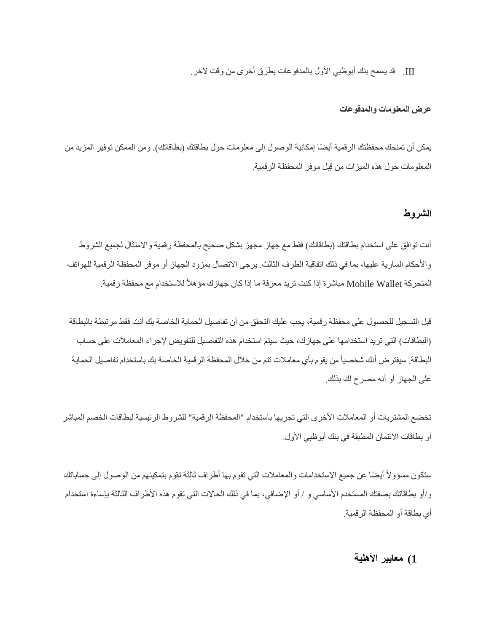III. قد يسمح بنك أبوظبي األول بالمدفوعات بطر ق أخرى من وقت آلخر.

#### **عرض المعلومات والمدفوعات**

يمكن أن تمنحك محفظتك الرقمية أيضًا إمكانية الوصول إلى معلومات حول بطاقتك (بطاقاتك). ومن الممكن توفير المزيد من المعلومات حول هذه الميزات من قِبل موفر المحفظة الرقمية.

#### **الشروط**

أنت توافق على استخدام بطاقتك (بطاقاتك) فقط مع جهاز مجهز بشكل صحيح بالمحفظة رقمية والامتثال لجميع الشروط والأحكام السارية عليها، بما في ذلك اتفاقية الطرف الثالث. يرجى الاتصال بمزود الجهاز أو موفر المحفظة الرقمية للهواتف المتحركة Mobile Wallet مباشرة إذا كنت تريد معرفة ما إذا كان جهازك مؤهلاً للاستخدام مع محفظة رقمية.

قبل التسجيل للحصول على محفظة رقمية، يجب عليك التحقق من أن تفاصيل الحماية الخاصة بك أنت فقط مرتبطة بالبطاقة (البطاقات) التي تريد استخدامها على جهازك، حيث سيتم استخدام هذه التفاصيل للتفويض لإجراء المعاملات على حساب البطاقة. سيفترض أنك شخصياًمن يقوم بأي معامالت تتم من خالل المحفظة الرقمية الخاصة بك باستخدام تفاصيل الحماية على الجهاز أو أنه مصرح لك بذلك.

تخضع المشتريات أو المعاملات الأخرى التي تجريها باستخدام "المحفظة الرقمية" للشروط الرئيسية لبطاقات الخصم المباشر أو بطاقات الائتمان المطبقة في بنك أبوظبي الأول.

ستكون مسؤولاً أيضًا عن جميع الاستخدامات والمعاملات التي تقوم بها أطراف ثالثة تقوم بتمكينهم من الوصول إلى حساباتك و/أو بطاقاتك بصفتك المستخدم الأساسي و / أو الإضافي، بما في ذلك الحالات التي تقوم هذه الأطراف الثالثة بإساءة استخدام أي بطاقة أو المحفظة الرقمية.

# **1( معايير األهلية**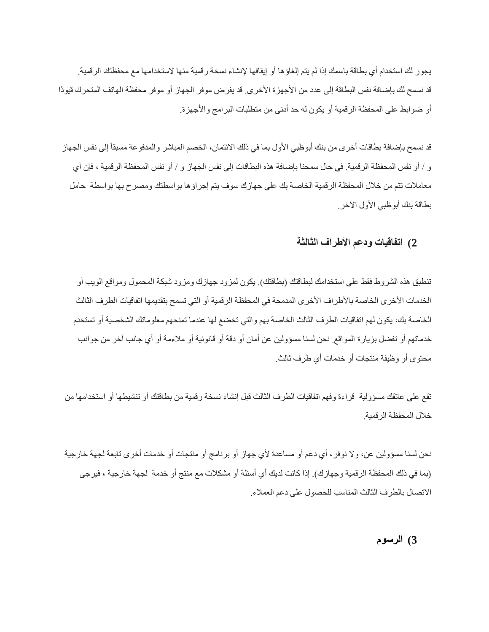يجوز لك استخدام أي بطاقة باسمك إذا لم يتم إلغاؤها أو إيقافها إلنشاء نسخة رقمية منها الستخدامها مع محفظتك الرقمية. قد نسمح لك بإضافة نفس البطاقة إلى عدد من الأجهزة الأخرى. قد يفرض موفر الجهاز أو موفر محفظة الهاتف المتحرك قيودًا أو ضوابط على المحفظة الرقمية أو يكون له حد أدنى من متطلبات البرامج واألجهزة.

قد نسمح بإضافة بطاقات أخرى من بنك أبوظبي الأول بما في ذلك الائتمان، الخصم المباشر والمدفوعة مسبقاً إلى نفس الجهاز و / أو نفس المحفظة الرقمية. في حال سمحنا بإضافة هذه البطاقات إلى نفس الجهاز و / أو نفس المحفظة الرقمية ، فإن أي معامالت تتم من خالل المحفظة الرقمية الخاصة بك على جهازك سوف يتم إجراؤها بواسطتك ومصرح بها بواسطة حامل بطاقة بنك أبوظبي الأول الآخر .

# **2( اتفاقيات ودعم األطراف الثالثة**

تنطبق هذه الشروط فقط على استخدامك لبطاقتك (بطاقتك). يكون لمزود جهازك ومزود شبكة المحمول ومواقع الويب أو الخدمات الأخرى الخاصة بالأطراف الأخرى المدمجة في المحفظة الرقمية أو التي تسمح بتقديمها اتفاقيات الطرف الثالث الخاصة بك، يكون لهم اتفاقيات الطرف الثالث الخاصة بهم والتي تخضع لها عندما تمنحهم معلوماتك الشخصية أو تستخدم خدماتهم أو تفضل بزيارة المواقع. نحن لسنا مسؤولين عن أمان أو دقة أو قانونية أو مالءمة أو أي جانب آخر من جوانب محتوى أو وظيفة منتجات أو خدمات أي طرف ثالث.

تقع على عاتقك مسؤولية قراءة وفهم اتفاقيات الطرف الثالث قبل إنشاء نسخة رقمية من بطاقتك أو تنشيطها أو استخدامها من خالل المحفظة الرقمية.

نحن لسنا مسؤولين عن، وال نوفر ، أي دعم أو مساعدة ألي جهاز أو برنامج أو منتجات أو خدمات أخرى تابعة لجهة خارجية (بما في ذلك المحفظة الرقمية وجهازك). إذا كانت لديك أي أسئلة أو مشكلات مع منتج أو خدمة لجهة خارجية ، فيرجى االتصال بالطرف الثالث المناسب للحصول على دعم العمالء.

**3( الرسوم**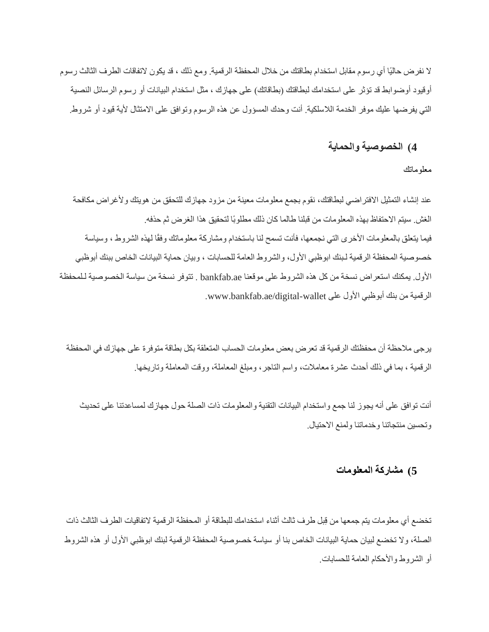ال نفرض حاليًا أي رسوم مقابل استخدام بطاقتك من خالل المحفظة الرقمية. ومع ذلك ، قد يكون التفاقات الطرف الثالث رسوم أوقيود أوضوابط قد تؤثر على استخدامك لبطاقتك (بطاقاتك) على جهازك ، مثل استخدام البيانات أو رسوم الرسائل النصية التي يفرضها عليك موفر الخدمة الالسلكية. أنت وحدك المسؤول عن هذه الرسوم وتوافق على االمتثال ألية قيود أو شروط.

# **4( الخصوصية والحماية**

معلوماتك

عند إنشاء التمثيل الافتراضي لبطاقتك، نقوم بجمع معلومات معينة من مزود جهازك للتحقق من هويتك ولأغراض مكافحة الغش. سيتم االحتفاظ بهذه المعلومات من قبلنا طالما كان ذلك مطلوبًا لتحقيق هذا الغرض ثم حذفه. فيما يتعلق بالمعلومات الأخرى التي نجمعها، فأنت تسمح لنا باستخدام ومشاركة معلوماتك وفقًا لهذه الشروط ، وسياسة خصوصية المحفظة الرقمية لـبنك ابوظبي الأول، والشروط العامة للحسابات ، وبيان حماية البيانات الخاص ببنك أبوظبي األول. يمكنك استعراض نسخة من كل هذه الشروط على موقعنا ae.bankfab . تتوفر نسخة من سياسة الخصوصية لـلمحفظة الرقمية من بنك أبوظبي الأول على www.bankfab.ae/digital-wallet.

يرجى مالحظة أن محفظتك الرقمية قد تعرض بعض معلومات الحساب المتعلقة بكل بطاقة متوفرة على جهازك في المحفظة الرقمية ، بما في ذلك أحدث عشرة معامالت، واسم التاجر، ومبلغ المعاملة، ووقت المعاملة وتاريخها.

أنت توافق على أنه يجوز لنا جمع واستخدام البيانات التقنية والمعلومات ذات الصلة حول جهازك لمساعدتنا على تحديث وتحسين منتجاتنا وخدماتنا ولمنع االحتيال.

# **5( مشاركة المعلومات**

تخضع أي معلومات يتم جمعها من قِبل طرف ثالث أثناء استخدامك للبطاقة أو المحفظة الرقمية التفاقيات الطرف الثالث ذات الصلة، وال تخضع لبيان حماية البيانات الخاص بنا أو سياسة خصوصية المحفظة الرقمية لبنك ابوظبي األول أو هذه الشروط أو الشر وط والأحكام العامة للحسابات.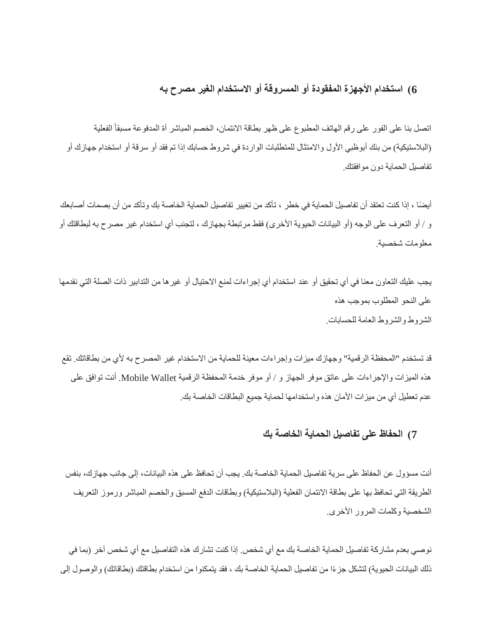# **6( استخدام األجهزة المفقودة أو المسروقة أو االستخدام الغير مصرح به**

اتصل بنا على الفور على رقم الهاتف المطبوع على ظهر بطاقة الائتمان، الخصم المباشر أة المدفوعة مسبقاً الفعلية (البلاستيكية) من بنك أبوظبي الأول والامتثال للمتطلبات الواردة في شروط حسابك إذا تم فقد أو سرقة أو استخدام جهازك أو تفاصيل الحماية دون موافقتك.

أيضًا ، إذا كنت تعتقد أن تفاصيل الحماية في خطر ، تأكد من تغيير تفاصيل الحماية الخاصة بك وتأكد من أن بصمات أصابعك و / أو التعرف على الوجه (أو البيانات الحيوية الأخرى) فقط مرتبطة بجهازك ، لتجنب أي استخدام غير مصرح به لبطاقتك أو معلومات شخصية.

يجب عليك التعاون معنا في أي تحقيق أو عند استخدام أي إجراءات لمنع االحتيال أو غيرها من التدابير ذات الصلة التي نقدمها على النحو المطلوب بموجب هذه الشروط والشروط العامة للحسابات.

قد تستخدم "المحفظة الرقمية" وجهازك ميزات وإجراءات معينة للحماية من االستخدام غير المصرح به ألي من بطاقاتك. تقع هذه الميزات واإلجراءات على عاتق موفر الجهاز و / أو موفر خدمة المحفظة الرقمية Wallet Mobile. أنت توافق على عدم تعطيل أي من ميزات الأمان هذه واستخدامها لحماية جميع البطاقات الخاصة بك.

# **7( الحفاظ على تفاصيل الحماية الخاصة بك**

أنت مسؤول عن الحفاظ على سرية تفاصيل الحماية الخاصة بك. يجب أن تحافظ على هذه البيانات، إلى جانب جهازك، بنفس الطريقة التي تحافظ بها على بطاقة الائتمان الفعلية (البلاستيكية) وبطاقات الدفع المسبق والخصم المباشر ورموز التعريف الشخصية وكلمات المرور الأخرى.

نوصي بعدم مشاركة تفاصيل الحماية الخاصة بك مع أي شخص. إذا كنت تشار ك هذه التفاصيل مع أي شخص آخر )بما في ذلك البيانات الحيوية) لتشكل جزءًا من تفاصيل الحماية الخاصة بك ، فقد يتمكنوا من استخدام بطاقتك (بطاقاتك) والوصول إلى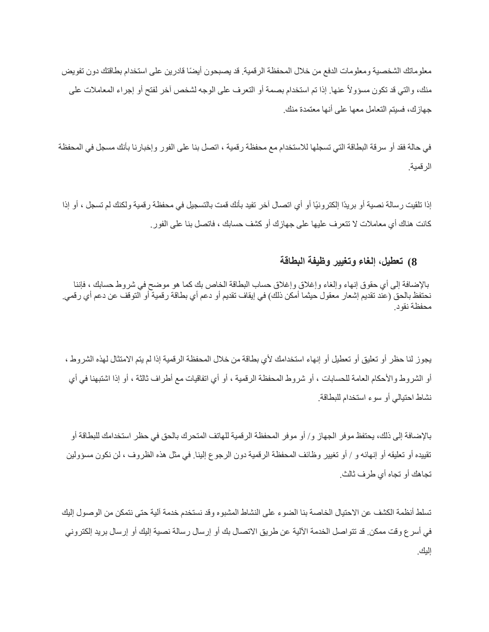معلوماتك الشخصية ومعلومات الدفع من خلال المحفظة الرقمية. قد يصبحون أيضًا قادرين على استخدام بطاقتك دون تفويض منك، والتي قد تكون مسؤوالً عنها. إذا تم استخدام بصمة أو التعرف على الوجه لشخص آخر لفتح أو إجراء المعامالت على جهازك، فسيتم التعامل معها على أنها معتمدة منك.

في حالة فقد أو سرقة البطاقة التي تسجلها لالستخدام مع محفظة رقمية ، اتصل بنا على الفور وإخبارنا بأنك مسجل في المحفظة الرقمية.

إذا تلقيت رسالة نصية أو بريدًا إلكترونيًا أو أي اتصال آخر تفيد بأنك قمت بالتسجيل في محفظة رقمية ولكنك لم تسجل ، أو إذا كانت هناك أي معامالت ال تتعرف عليها على جهازك أو كشف حسابك ، فاتصل بنا على الفور.

# **8( تعطيل، إلغاء وتغيير وظيفة البطاقة**

باإلضافة إلى أي حقوق إنهاء وإلغاء وإغالق وإغالق حساب البطاقة الخاص بك كما هو موضح في شروط حسابك ، فإننا نحتفظ بالحق (عند تقديم إشعار معقول حيثما أمكن ذلك) في إيقاف تقديم أو دعم أي بطاقة رقمية أو التوقف عن دعم أي رقمي. محفظة نقود.

يجوز لنا حظر أو تعليق أو تعطيل أو إنهاء استخدامك لأي بطاقة من خلال المحفظة الرقمية إذا لم يتم الامتثال لهذه الشروط ، أو الشروط والأحكام العامة للحسابات ، أو شروط المحفظة الرقمية ، أو أي اتفاقيات مع أطراف ثالثة ، أو إذا اشتبهنا في أي نشاط احتيالي أو سوء استخدام للبطاقة.

باإلضافة إلى ذلك، يحتفظ موفر الجهاز و/ أو موفر المحفظة الرقمية للهاتف المتحرك بالحق في حظر استخدامك للبطاقة أو تقييده أو تعليقه أو إنهائه و / أو تغيير وظائف المحفظة الرقمية دون الرجوع إلينا. في مثل هذه الظروف ، لن نكون مسؤولين تجاهك أو تجاه أي طرف ثالث.

تسلط أنظمة الكشف عن االحتيال الخاصة بنا الضوء على النشاط المشبوه وقد نستخدم خدمة آلية حتى نتمكن من الوصول إليك في أسرع وقت ممكن. قد تتواصل الخدمة اآللية عن طريق االتصال بك أو إرسال رسالة نصية إليك أو إرسال بريد إلكتروني إليك.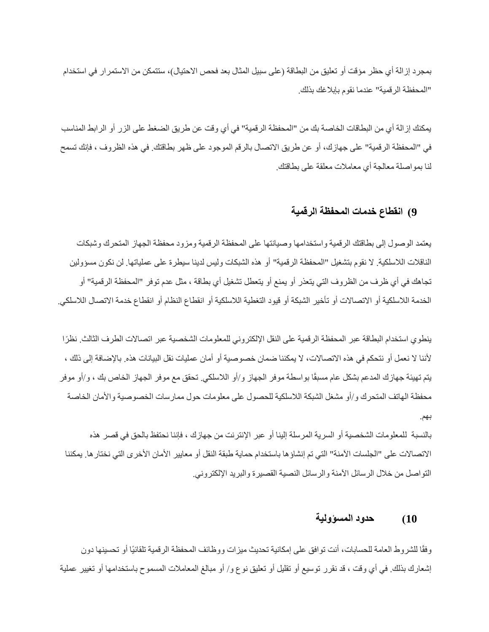بمجرد إزالة أي حظر مؤقت أو تعليق من البطاقة (على سبيل المثال بعد فحص الاحتيال)، ستتمكن من الاستمرار في استخدام "المحفظة الر قمية" عندما نقوم بإبلاغك بذلك.

يمكنك إزالة أي من البطاقات الخاصة بك من "المحفظة الرقمية" في أي وقت عن طريق الضغط على الزر أو الرابط المناسب في "المحفظة الرقمية" على جهازك، أو عن طريق االتصال بالرقم الموجود على ظهر بطاقتك. في هذه الظروف ، فإنك تسمح لنا بمواصلة معالجة أي معامالت معلقة على بطاقتك.

### **9( انقطاع خدمات المحفظة الرقمية**

يعتمد الوصول إلى بطاقتك الرقمية واستخدامها وصيانتها على المحفظة الرقمية ومزود محفظة الجهاز المتحرك وشبكات الناقالت الالسلكية. ال نقوم بتشغيل "المحفظة الرقمية" أو هذه الشبكات وليس لدينا سيطرة على عملياتها. لن نكون مسؤولين تجاهك في أي ظرف من الظروف التي يتعذر أو يمنع أو يتعطل تشغيل أي بطاقة ، مثل عدم توفر "المحفظة الرقمية" أو الخدمة اللاسلكية أو الاتصالات أو تأخير الشبكة أو قيود التغطية اللاسلكية أو انقطاع النظام أو انقطاع خدمة الاتصال اللاسلكي.

ينطوي استخدام البطاقة عبر المحفظة الرقمية على النقل اإللكتروني للمعلومات الشخصية عبر اتصاالت الطرف الثالث. نظ ًرا ألننا ال نعمل أو نتحكم في هذه االتصاالت، ال يمكننا ضمان خصوصية أو أمان عمليات نقل البيانات هذه. باإلضافة إلى ذلك ، يتم تهيئة جهازك المدعم بشكل عام مسبقًا بواسطة موفر الجهاز و/أو الالسلكي. تحقق مع موفر الجهاز الخاص بك ، و/أو موفر محفظة الهاتف المتحرك و/أو مشغل الشبكة الالسلكية للحصول على معلومات حول ممارسات الخصوصية واألمان الخاصة بهم.

بالنسبة للمعلومات الشخصية أو السرية المرسلة إلينا أو عبر اإلنترنت من جهازك ، فإننا نحتفظ بالحق في قصر هذه الاتصالات على "الجلسات الآمنة" التي تم إنشاؤها باستخدام حماية طبقة النقل أو معايير الأمان الأخرى التي نختار ها. يمكننا التواصل من خالل الرسائل اآلمنة والرسائل النصية القصيرة والبريد اإللكتروني.

# **10( حدود المسؤولية**

وفقًا للشروط العامة للحسابات، أنت توافق على إمكانية تحديث ميزات ووظائف المحفظة الرقمية تلقائيًا أو تحسينها دون إشعارك بذلك. في أي وقت ، قد نقر ر توسيع أو تقليل أو تعليق نوع و / أو مبالغ المعامالت المسموح باستخدامها أو تغيير عملية